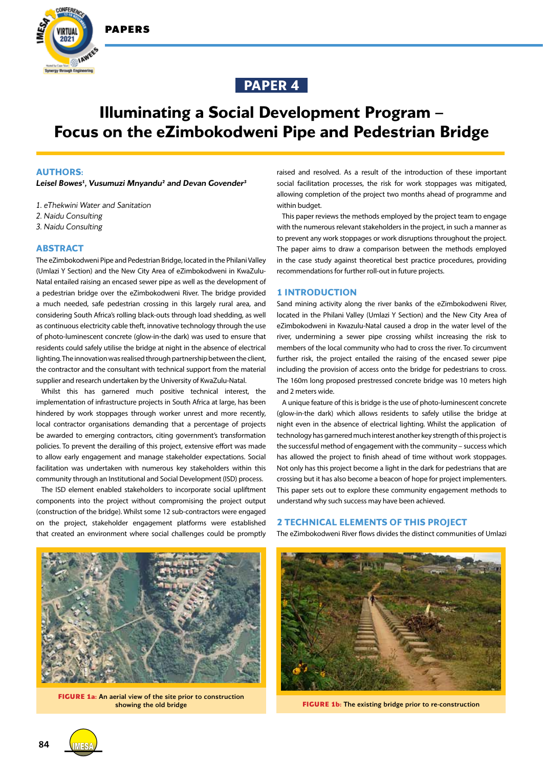





# **Illuminating a Social Development Program – Focus on the eZimbokodweni Pipe and Pedestrian Bridge**

### **AUTHORS:**

Leisel Bowes<sup>1</sup>, Vusumuzi Mnyandu<sup>2</sup> and Devan Govender<sup>3</sup>

- *1. eThekwini Water and Sanitation*
- *2. Naidu Consulting*
- *3. Naidu Consulting*

## **ABSTRACT**

The eZimbokodweni Pipe and Pedestrian Bridge, located in the Philani Valley (Umlazi Y Section) and the New City Area of eZimbokodweni in KwaZulu-Natal entailed raising an encased sewer pipe as well as the development of a pedestrian bridge over the eZimbokodweni River. The bridge provided a much needed, safe pedestrian crossing in this largely rural area, and considering South Africa's rolling black-outs through load shedding, as well as continuous electricity cable theft, innovative technology through the use of photo-luminescent concrete (glow-in-the dark) was used to ensure that residents could safely utilise the bridge at night in the absence of electrical lighting. The innovation was realised through partnership between the client, the contractor and the consultant with technical support from the material supplier and research undertaken by the University of KwaZulu-Natal.

Whilst this has garnered much positive technical interest, the implementation of infrastructure projects in South Africa at large, has been hindered by work stoppages through worker unrest and more recently, local contractor organisations demanding that a percentage of projects be awarded to emerging contractors, citing government's transformation policies. To prevent the derailing of this project, extensive effort was made to allow early engagement and manage stakeholder expectations. Social facilitation was undertaken with numerous key stakeholders within this community through an Institutional and Social Development (ISD) process.

The ISD element enabled stakeholders to incorporate social upliftment components into the project without compromising the project output (construction of the bridge). Whilst some 12 sub-contractors were engaged on the project, stakeholder engagement platforms were established that created an environment where social challenges could be promptly

raised and resolved. As a result of the introduction of these important social facilitation processes, the risk for work stoppages was mitigated, allowing completion of the project two months ahead of programme and within budget.

This paper reviews the methods employed by the project team to engage with the numerous relevant stakeholders in the project, in such a manner as to prevent any work stoppages or work disruptions throughout the project. The paper aims to draw a comparison between the methods employed in the case study against theoretical best practice procedures, providing recommendations for further roll-out in future projects.

#### **1 INTRODUCTION**

Sand mining activity along the river banks of the eZimbokodweni River, located in the Philani Valley (Umlazi Y Section) and the New City Area of eZimbokodweni in Kwazulu-Natal caused a drop in the water level of the river, undermining a sewer pipe crossing whilst increasing the risk to members of the local community who had to cross the river. To circumvent further risk, the project entailed the raising of the encased sewer pipe including the provision of access onto the bridge for pedestrians to cross. The 160m long proposed prestressed concrete bridge was 10 meters high and 2 meters wide.

A unique feature of this is bridge is the use of photo-luminescent concrete (glow-in-the dark) which allows residents to safely utilise the bridge at night even in the absence of electrical lighting. Whilst the application of technology has garnered much interest another key strength of this project is the successful method of engagement with the community – success which has allowed the project to finish ahead of time without work stoppages. Not only has this project become a light in the dark for pedestrians that are crossing but it has also become a beacon of hope for project implementers. This paper sets out to explore these community engagement methods to understand why such success may have been achieved.

#### **2 TECHNICAL ELEMENTS OF THIS PROJECT**

The eZimbokodweni River flows divides the distinct communities of Umlazi



**FIGURE 1a:** An aerial view of the site prior to construction



showing the old bridge **FIGURE 1b:** The existing bridge prior to re-construction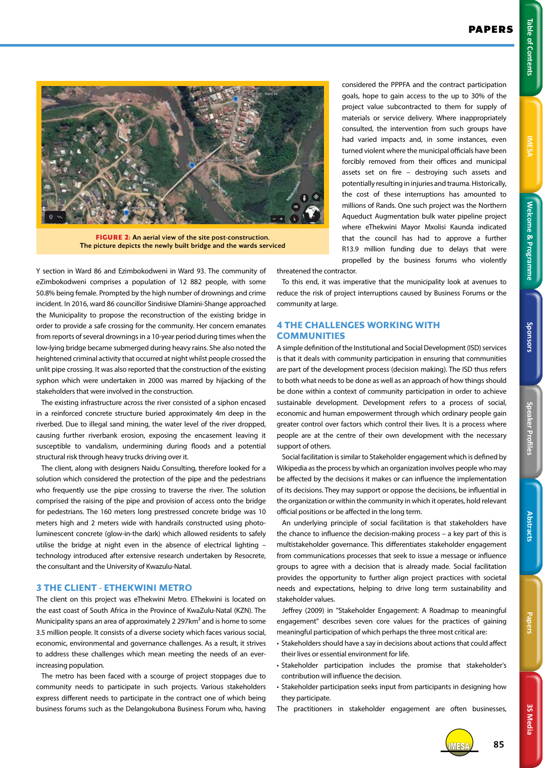3S Media **3S Media**



**FIGURE 2:** An aerial view of the site post-construction. The picture depicts the newly built bridge and the wards serviced

Y section in Ward 86 and Ezimbokodweni in Ward 93. The community of eZimbokodweni comprises a population of 12 882 people, with some 50.8% being female. Prompted by the high number of drownings and crime incident. In 2016, ward 86 councillor Sindisiwe Dlamini-Shange approached the Municipality to propose the reconstruction of the existing bridge in order to provide a safe crossing for the community. Her concern emanates from reports of several drownings in a 10-year period during times when the low-lying bridge became submerged during heavy rains. She also noted the heightened criminal activity that occurred at night whilst people crossed the unlit pipe crossing. It was also reported that the construction of the existing syphon which were undertaken in 2000 was marred by hijacking of the stakeholders that were involved in the construction.

The existing infrastructure across the river consisted of a siphon encased in a reinforced concrete structure buried approximately 4m deep in the riverbed. Due to illegal sand mining, the water level of the river dropped, causing further riverbank erosion, exposing the encasement leaving it susceptible to vandalism, undermining during floods and a potential structural risk through heavy trucks driving over it.

The client, along with designers Naidu Consulting, therefore looked for a solution which considered the protection of the pipe and the pedestrians who frequently use the pipe crossing to traverse the river. The solution comprised the raising of the pipe and provision of access onto the bridge for pedestrians. The 160 meters long prestressed concrete bridge was 10 meters high and 2 meters wide with handrails constructed using photoluminescent concrete (glow-in-the dark) which allowed residents to safely utilise the bridge at night even in the absence of electrical lighting – technology introduced after extensive research undertaken by Resocrete, the consultant and the University of Kwazulu-Natal.

## **3 THE CLIENT - ETHEKWINI METRO**

The client on this project was eThekwini Metro. EThekwini is located on the east coast of South Africa in the Province of KwaZulu-Natal (KZN). The Municipality spans an area of approximately 2 297km² and is home to some 3.5 million people. It consists of a diverse society which faces various social, economic, environmental and governance challenges. As a result, it strives to address these challenges which mean meeting the needs of an everincreasing population.

The metro has been faced with a scourge of project stoppages due to community needs to participate in such projects. Various stakeholders express different needs to participate in the contract one of which being business forums such as the Delangokubona Business Forum who, having

considered the PPPFA and the contract participation goals, hope to gain access to the up to 30% of the project value subcontracted to them for supply of materials or service delivery. Where inappropriately consulted, the intervention from such groups have had varied impacts and, in some instances, even turned violent where the municipal officials have been forcibly removed from their offices and municipal assets set on fire – destroying such assets and potentially resulting in injuries and trauma. Historically, the cost of these interruptions has amounted to millions of Rands. One such project was the Northern Aqueduct Augmentation bulk water pipeline project where eThekwini Mayor Mxolisi Kaunda indicated that the council has had to approve a further R13.9 million funding due to delays that were propelled by the business forums who violently

threatened the contractor.

To this end, it was imperative that the municipality look at avenues to reduce the risk of project interruptions caused by Business Forums or the community at large.

# **4 THE CHALLENGES WORKING WITH COMMUNITIES**

A simple definition of the Institutional and Social Development (ISD) services is that it deals with community participation in ensuring that communities are part of the development process (decision making). The ISD thus refers to both what needs to be done as well as an approach of how things should be done within a context of community participation in order to achieve sustainable development. Development refers to a process of social, economic and human empowerment through which ordinary people gain greater control over factors which control their lives. It is a process where people are at the centre of their own development with the necessary support of others.

Social facilitation is similar to Stakeholder engagement which is defined by Wikipedia as the process by which an organization involves people who may be affected by the decisions it makes or can influence the implementation of its decisions. They may support or oppose the decisions, be influential in the organization or within the community in which it operates, hold relevant official positions or be affected in the long term.

An underlying principle of social facilitation is that stakeholders have the chance to influence the decision-making process – a key part of this is multistakeholder governance. This differentiates stakeholder engagement from communications processes that seek to issue a message or influence groups to agree with a decision that is already made. Social facilitation provides the opportunity to further align project practices with societal needs and expectations, helping to drive long term sustainability and stakeholder values.

Jeffrey (2009) in "Stakeholder Engagement: A Roadmap to meaningful engagement" describes seven core values for the practices of gaining meaningful participation of which perhaps the three most critical are:

- Stakeholders should have a say in decisions about actions that could affect their lives or essential environment for life.
- Stakeholder participation includes the promise that stakeholder's contribution will influence the decision.
- Stakeholder participation seeks input from participants in designing how they participate.
- The practitioners in stakeholder engagement are often businesses,



IMESA **85**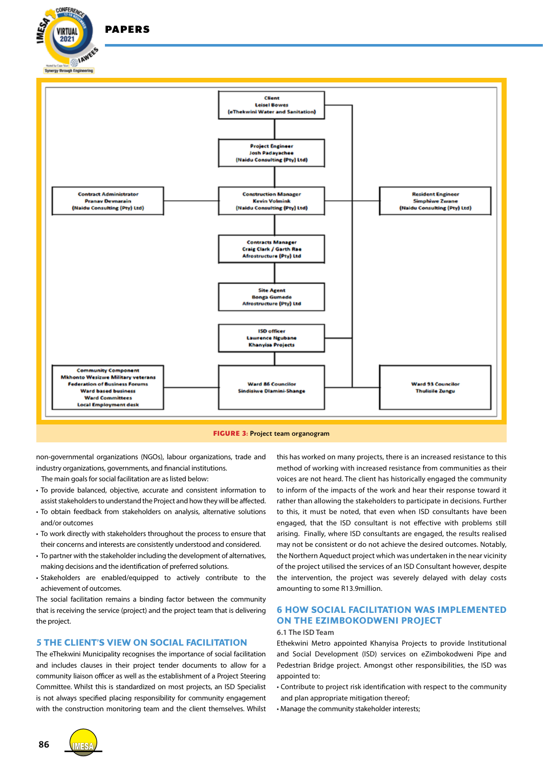



non-governmental organizations (NGOs), labour organizations, trade and industry organizations, governments, and financial institutions.

The main goals for social facilitation are as listed below:

- To provide balanced, objective, accurate and consistent information to assist stakeholders to understand the Project and how they will be affected.
- To obtain feedback from stakeholders on analysis, alternative solutions and/or outcomes
- To work directly with stakeholders throughout the process to ensure that their concerns and interests are consistently understood and considered.
- To partner with the stakeholder including the development of alternatives, making decisions and the identification of preferred solutions.
- Stakeholders are enabled/equipped to actively contribute to the achievement of outcomes.

The social facilitation remains a binding factor between the community that is receiving the service (project) and the project team that is delivering the project.

# **5 THE CLIENT'S VIEW ON SOCIAL FACILITATION**

The eThekwini Municipality recognises the importance of social facilitation and includes clauses in their project tender documents to allow for a community liaison officer as well as the establishment of a Project Steering Committee. Whilst this is standardized on most projects, an ISD Specialist is not always specified placing responsibility for community engagement with the construction monitoring team and the client themselves. Whilst this has worked on many projects, there is an increased resistance to this method of working with increased resistance from communities as their voices are not heard. The client has historically engaged the community to inform of the impacts of the work and hear their response toward it rather than allowing the stakeholders to participate in decisions. Further to this, it must be noted, that even when ISD consultants have been engaged, that the ISD consultant is not effective with problems still arising. Finally, where ISD consultants are engaged, the results realised may not be consistent or do not achieve the desired outcomes. Notably, the Northern Aqueduct project which was undertaken in the near vicinity of the project utilised the services of an ISD Consultant however, despite the intervention, the project was severely delayed with delay costs amounting to some R13.9million.

# **6 HOW SOCIAL FACILITATION WAS IMPLEMENTED ON THE EZIMBOKODWENI PROJECT**

#### **6.1 The ISD Team**

Ethekwini Metro appointed Khanyisa Projects to provide Institutional and Social Development (ISD) services on eZimbokodweni Pipe and Pedestrian Bridge project. Amongst other responsibilities, the ISD was appointed to:

- Contribute to project risk identification with respect to the community and plan appropriate mitigation thereof;
- Manage the community stakeholder interests;

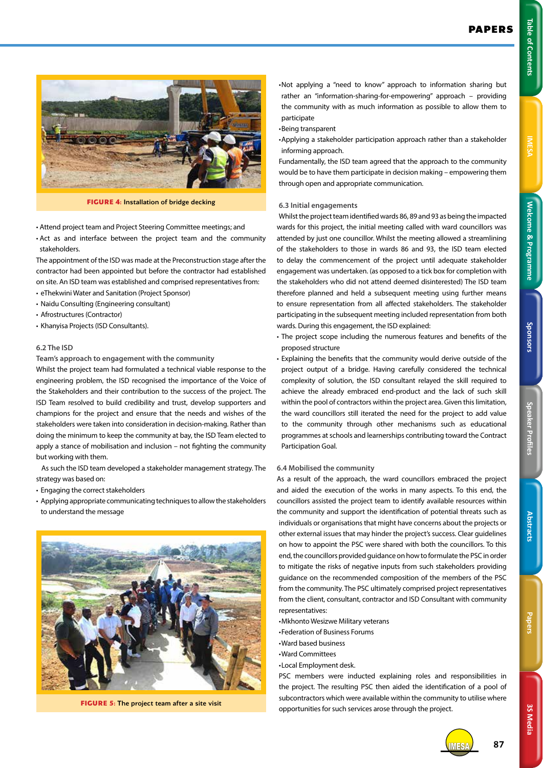

**FIGURE 4:** Installation of bridge decking

- Attend project team and Project Steering Committee meetings; and
- Act as and interface between the project team and the community stakeholders.

The appointment of the ISD was made at the Preconstruction stage after the contractor had been appointed but before the contractor had established on site. An ISD team was established and comprised representatives from:

- eThekwini Water and Sanitation (Project Sponsor)
- Naidu Consulting (Engineering consultant)
- Afrostructures (Contractor)
- Khanyisa Projects (ISD Consultants).

#### **6.2 The ISD**

**Team's approach to engagement with the community**

Whilst the project team had formulated a technical viable response to the engineering problem, the ISD recognised the importance of the Voice of the Stakeholders and their contribution to the success of the project. The ISD Team resolved to build credibility and trust, develop supporters and champions for the project and ensure that the needs and wishes of the stakeholders were taken into consideration in decision-making. Rather than doing the minimum to keep the community at bay, the ISD Team elected to apply a stance of mobilisation and inclusion – not fighting the community but working with them.

As such the ISD team developed a stakeholder management strategy. The strategy was based on:

- Engaging the correct stakeholders
- Applying appropriate communicating techniques to allow the stakeholders to understand the message



**FIGURE 5:** The project team after a site visit

• Not applying a "need to know" approach to information sharing but rather an "information-sharing-for-empowering" approach – providing the community with as much information as possible to allow them to participate

- •Being transparent
- Applying a stakeholder participation approach rather than a stakeholder informing approach.

Fundamentally, the ISD team agreed that the approach to the community would be to have them participate in decision making – empowering them through open and appropriate communication.

# **6.3 Initial engagements**

Whilst the project team identified wards 86, 89 and 93 as being the impacted wards for this project, the initial meeting called with ward councillors was attended by just one councillor. Whilst the meeting allowed a streamlining of the stakeholders to those in wards 86 and 93, the ISD team elected to delay the commencement of the project until adequate stakeholder engagement was undertaken. (as opposed to a tick box for completion with the stakeholders who did not attend deemed disinterested) The ISD team therefore planned and held a subsequent meeting using further means to ensure representation from all affected stakeholders. The stakeholder participating in the subsequent meeting included representation from both wards. During this engagement, the ISD explained:

• The project scope including the numerous features and benefits of the proposed structure

• Explaining the benefits that the community would derive outside of the project output of a bridge. Having carefully considered the technical complexity of solution, the ISD consultant relayed the skill required to achieve the already embraced end-product and the lack of such skill within the pool of contractors within the project area. Given this limitation, the ward councillors still iterated the need for the project to add value to the community through other mechanisms such as educational programmes at schools and learnerships contributing toward the Contract Participation Goal.

#### **6.4 Mobilised the community**

As a result of the approach, the ward councillors embraced the project and aided the execution of the works in many aspects. To this end, the councillors assisted the project team to identify available resources within the community and support the identification of potential threats such as individuals or organisations that might have concerns about the projects or other external issues that may hinder the project's success. Clear guidelines on how to appoint the PSC were shared with both the councillors. To this end, the councillors provided guidance on how to formulate the PSC in order to mitigate the risks of negative inputs from such stakeholders providing guidance on the recommended composition of the members of the PSC from the community. The PSC ultimately comprised project representatives from the client, consultant, contractor and ISD Consultant with community representatives:

- •Mkhonto Wesizwe Military veterans
- •Federation of Business Forums
- •Ward based business
- •Ward Committees
- •Local Employment desk.

PSC members were inducted explaining roles and responsibilities in the project. The resulting PSC then aided the identification of a pool of subcontractors which were available within the community to utilise where opportunities for such services arose through the project.



IMESA **87**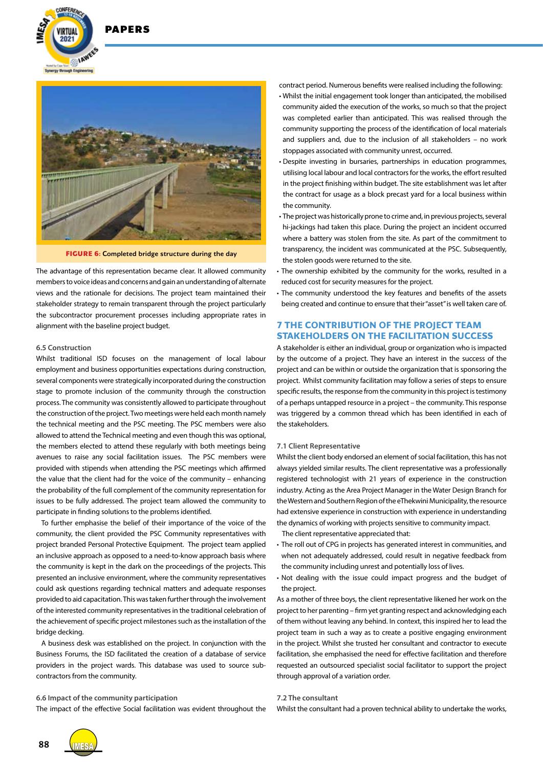



**FIGURE 6:** Completed bridge structure during the day

The advantage of this representation became clear. It allowed community members to voice ideas and concerns and gain an understanding of alternate views and the rationale for decisions. The project team maintained their stakeholder strategy to remain transparent through the project particularly the subcontractor procurement processes including appropriate rates in alignment with the baseline project budget.

#### **6.5 Construction**

Whilst traditional ISD focuses on the management of local labour employment and business opportunities expectations during construction, several components were strategically incorporated during the construction stage to promote inclusion of the community through the construction process. The community was consistently allowed to participate throughout the construction of the project. Two meetings were held each month namely the technical meeting and the PSC meeting. The PSC members were also allowed to attend the Technical meeting and even though this was optional, the members elected to attend these regularly with both meetings being avenues to raise any social facilitation issues. The PSC members were provided with stipends when attending the PSC meetings which affirmed the value that the client had for the voice of the community – enhancing the probability of the full complement of the community representation for issues to be fully addressed. The project team allowed the community to participate in finding solutions to the problems identified.

To further emphasise the belief of their importance of the voice of the community, the client provided the PSC Community representatives with project branded Personal Protective Equipment. The project team applied an inclusive approach as opposed to a need-to-know approach basis where the community is kept in the dark on the proceedings of the projects. This presented an inclusive environment, where the community representatives could ask questions regarding technical matters and adequate responses provided to aid capacitation. This was taken further through the involvement of the interested community representatives in the traditional celebration of the achievement of specific project milestones such as the installation of the bridge decking.

A business desk was established on the project. In conjunction with the Business Forums, the ISD facilitated the creation of a database of service providers in the project wards. This database was used to source subcontractors from the community.

#### **6.6 Impact of the community participation**

The impact of the effective Social facilitation was evident throughout the

contract period. Numerous benefits were realised including the following:

- Whilst the initial engagement took longer than anticipated, the mobilised community aided the execution of the works, so much so that the project was completed earlier than anticipated. This was realised through the community supporting the process of the identification of local materials and suppliers and, due to the inclusion of all stakeholders – no work stoppages associated with community unrest, occurred.
- Despite investing in bursaries, partnerships in education programmes, utilising local labour and local contractors for the works, the effort resulted in the project finishing within budget. The site establishment was let after the contract for usage as a block precast yard for a local business within the community.
- The project was historically prone to crime and, in previous projects, several hi-jackings had taken this place. During the project an incident occurred where a battery was stolen from the site. As part of the commitment to transparency, the incident was communicated at the PSC. Subsequently, the stolen goods were returned to the site.
- The ownership exhibited by the community for the works, resulted in a reduced cost for security measures for the project.
- The community understood the key features and benefits of the assets being created and continue to ensure that their "asset" is well taken care of.

# **7 THE CONTRIBUTION OF THE PROJECT TEAM STAKEHOLDERS ON THE FACILITATION SUCCESS**

A stakeholder is either an individual, group or organization who is impacted by the outcome of a project. They have an interest in the success of the project and can be within or outside the organization that is sponsoring the project. Whilst community facilitation may follow a series of steps to ensure specific results, the response from the community in this project is testimony of a perhaps untapped resource in a project – the community. This response was triggered by a common thread which has been identified in each of the stakeholders.

#### **7.1 Client Representative**

Whilst the client body endorsed an element of social facilitation, this has not always yielded similar results. The client representative was a professionally registered technologist with 21 years of experience in the construction industry. Acting as the Area Project Manager in the Water Design Branch for the Western and Southern Region of the eThekwini Municipality, the resource had extensive experience in construction with experience in understanding the dynamics of working with projects sensitive to community impact.

The client representative appreciated that:

- The roll out of CPG in projects has generated interest in communities, and when not adequately addressed, could result in negative feedback from the community including unrest and potentially loss of lives.
- Not dealing with the issue could impact progress and the budget of the project.

As a mother of three boys, the client representative likened her work on the project to her parenting – firm yet granting respect and acknowledging each of them without leaving any behind. In context, this inspired her to lead the project team in such a way as to create a positive engaging environment in the project. Whilst she trusted her consultant and contractor to execute facilitation, she emphasised the need for effective facilitation and therefore requested an outsourced specialist social facilitator to support the project through approval of a variation order.

#### **7.2 The consultant**

Whilst the consultant had a proven technical ability to undertake the works,

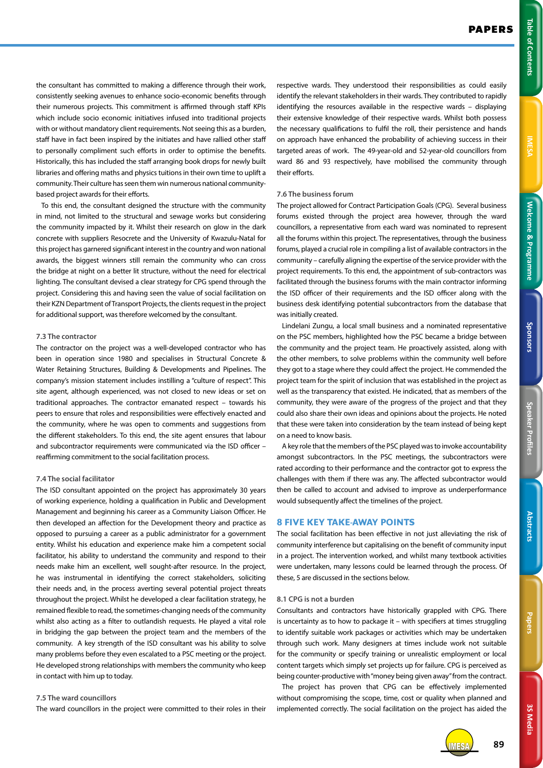3S Media **3S Media**

the consultant has committed to making a difference through their work, consistently seeking avenues to enhance socio-economic benefits through their numerous projects. This commitment is affirmed through staff KPIs which include socio economic initiatives infused into traditional projects with or without mandatory client requirements. Not seeing this as a burden, staff have in fact been inspired by the initiates and have rallied other staff to personally compliment such efforts in order to optimise the benefits. Historically, this has included the staff arranging book drops for newly built libraries and offering maths and physics tuitions in their own time to uplift a community. Their culture has seen them win numerous national communitybased project awards for their efforts.

To this end, the consultant designed the structure with the community in mind, not limited to the structural and sewage works but considering the community impacted by it. Whilst their research on glow in the dark concrete with suppliers Resocrete and the University of Kwazulu-Natal for this project has garnered significant interest in the country and won national awards, the biggest winners still remain the community who can cross the bridge at night on a better lit structure, without the need for electrical lighting. The consultant devised a clear strategy for CPG spend through the project. Considering this and having seen the value of social facilitation on their KZN Department of Transport Projects, the clients request in the project for additional support, was therefore welcomed by the consultant.

# **7.3 The contractor**

The contractor on the project was a well-developed contractor who has been in operation since 1980 and specialises in Structural Concrete & Water Retaining Structures, Building & Developments and Pipelines. The company's mission statement includes instilling a "culture of respect". This site agent, although experienced, was not closed to new ideas or set on traditional approaches. The contractor emanated respect – towards his peers to ensure that roles and responsibilities were effectively enacted and the community, where he was open to comments and suggestions from the different stakeholders. To this end, the site agent ensures that labour and subcontractor requirements were communicated via the ISD officer – reaffirming commitment to the social facilitation process.

#### **7.4 The social facilitator**

The ISD consultant appointed on the project has approximately 30 years of working experience, holding a qualification in Public and Development Management and beginning his career as a Community Liaison Officer. He then developed an affection for the Development theory and practice as opposed to pursuing a career as a public administrator for a government entity. Whilst his education and experience make him a competent social facilitator, his ability to understand the community and respond to their needs make him an excellent, well sought-after resource. In the project, he was instrumental in identifying the correct stakeholders, soliciting their needs and, in the process averting several potential project threats throughout the project. Whilst he developed a clear facilitation strategy, he remained flexible to read, the sometimes-changing needs of the community whilst also acting as a filter to outlandish requests. He played a vital role in bridging the gap between the project team and the members of the community. A key strength of the ISD consultant was his ability to solve many problems before they even escalated to a PSC meeting or the project. He developed strong relationships with members the community who keep in contact with him up to today.

#### **7.5 The ward councillors**

The ward councillors in the project were committed to their roles in their

respective wards. They understood their responsibilities as could easily identify the relevant stakeholders in their wards. They contributed to rapidly identifying the resources available in the respective wards – displaying their extensive knowledge of their respective wards. Whilst both possess the necessary qualifications to fulfil the roll, their persistence and hands on approach have enhanced the probability of achieving success in their targeted areas of work. The 49-year-old and 52-year-old councillors from ward 86 and 93 respectively, have mobilised the community through their efforts.

#### **7.6 The business forum**

The project allowed for Contract Participation Goals (CPG). Several business forums existed through the project area however, through the ward councillors, a representative from each ward was nominated to represent all the forums within this project. The representatives, through the business forums, played a crucial role in compiling a list of available contractors in the community – carefully aligning the expertise of the service provider with the project requirements. To this end, the appointment of sub-contractors was facilitated through the business forums with the main contractor informing the ISD officer of their requirements and the ISD officer along with the business desk identifying potential subcontractors from the database that was initially created.

Lindelani Zungu, a local small business and a nominated representative on the PSC members, highlighted how the PSC became a bridge between the community and the project team. He proactively assisted, along with the other members, to solve problems within the community well before they got to a stage where they could affect the project. He commended the project team for the spirit of inclusion that was established in the project as well as the transparency that existed. He indicated, that as members of the community, they were aware of the progress of the project and that they could also share their own ideas and opinions about the projects. He noted that these were taken into consideration by the team instead of being kept on a need to know basis.

A key role that the members of the PSC played was to invoke accountability amongst subcontractors. In the PSC meetings, the subcontractors were rated according to their performance and the contractor got to express the challenges with them if there was any. The affected subcontractor would then be called to account and advised to improve as underperformance would subsequently affect the timelines of the project.

#### **8 FIVE KEY TAKE-AWAY POINTS**

The social facilitation has been effective in not just alleviating the risk of community interference but capitalising on the benefit of community input in a project. The intervention worked, and whilst many textbook activities were undertaken, many lessons could be learned through the process. Of these, 5 are discussed in the sections below.

#### **8.1 CPG is not a burden**

Consultants and contractors have historically grappled with CPG. There is uncertainty as to how to package it – with specifiers at times struggling to identify suitable work packages or activities which may be undertaken through such work. Many designers at times include work not suitable for the community or specify training or unrealistic employment or local content targets which simply set projects up for failure. CPG is perceived as being counter-productive with "money being given away" from the contract. The project has proven that CPG can be effectively implemented without compromising the scope, time, cost or quality when planned and implemented correctly. The social facilitation on the project has aided the

IMESA **89**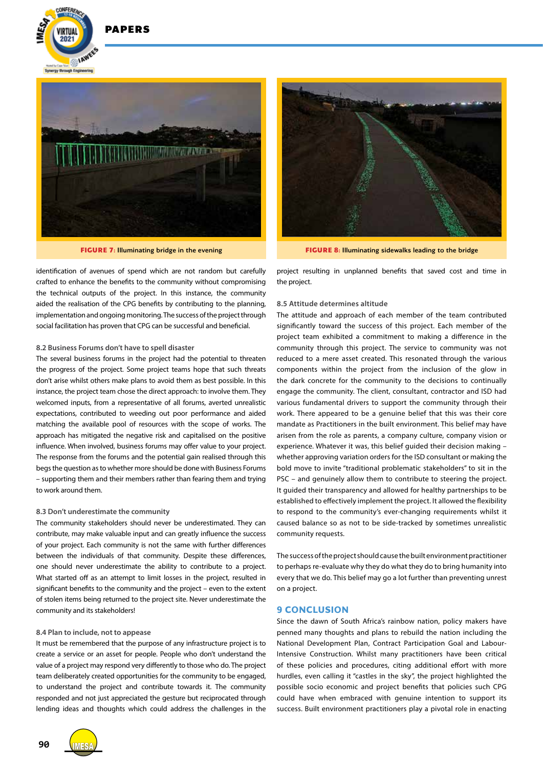$202 -$ 

Syneroy through Engin

**EXAMES** 



identification of avenues of spend which are not random but carefully crafted to enhance the benefits to the community without compromising the technical outputs of the project. In this instance, the community aided the realisation of the CPG benefits by contributing to the planning, implementation and ongoing monitoring. The success of the project through social facilitation has proven that CPG can be successful and beneficial.

#### **8.2 Business Forums don't have to spell disaster**

The several business forums in the project had the potential to threaten the progress of the project. Some project teams hope that such threats don't arise whilst others make plans to avoid them as best possible. In this instance, the project team chose the direct approach: to involve them. They welcomed inputs, from a representative of all forums, averted unrealistic expectations, contributed to weeding out poor performance and aided matching the available pool of resources with the scope of works. The approach has mitigated the negative risk and capitalised on the positive influence. When involved, business forums may offer value to your project. The response from the forums and the potential gain realised through this begs the question as to whether more should be done with Business Forums – supporting them and their members rather than fearing them and trying to work around them.

#### **8.3 Don't underestimate the community**

The community stakeholders should never be underestimated. They can contribute, may make valuable input and can greatly influence the success of your project. Each community is not the same with further differences between the individuals of that community. Despite these differences, one should never underestimate the ability to contribute to a project. What started off as an attempt to limit losses in the project, resulted in significant benefits to the community and the project – even to the extent of stolen items being returned to the project site. Never underestimate the community and its stakeholders!

#### **8.4 Plan to include, not to appease**

It must be remembered that the purpose of any infrastructure project is to create a service or an asset for people. People who don't understand the value of a project may respond very differently to those who do. The project team deliberately created opportunities for the community to be engaged, to understand the project and contribute towards it. The community responded and not just appreciated the gesture but reciprocated through lending ideas and thoughts which could address the challenges in the





**FIGURE 7:** Illuminating bridge in the evening **FIGURE 8:** Illuminating sidewalks leading to the bridge

project resulting in unplanned benefits that saved cost and time in the project.

#### **8.5 Attitude determines altitude**

The attitude and approach of each member of the team contributed significantly toward the success of this project. Each member of the project team exhibited a commitment to making a difference in the community through this project. The service to community was not reduced to a mere asset created. This resonated through the various components within the project from the inclusion of the glow in the dark concrete for the community to the decisions to continually engage the community. The client, consultant, contractor and ISD had various fundamental drivers to support the community through their work. There appeared to be a genuine belief that this was their core mandate as Practitioners in the built environment. This belief may have arisen from the role as parents, a company culture, company vision or experience. Whatever it was, this belief guided their decision making – whether approving variation orders for the ISD consultant or making the bold move to invite "traditional problematic stakeholders" to sit in the PSC – and genuinely allow them to contribute to steering the project. It guided their transparency and allowed for healthy partnerships to be established to effectively implement the project. It allowed the flexibility to respond to the community's ever-changing requirements whilst it caused balance so as not to be side-tracked by sometimes unrealistic community requests.

The success of the project should cause the built environment practitioner to perhaps re-evaluate why they do what they do to bring humanity into every that we do. This belief may go a lot further than preventing unrest on a project.

#### **9 CONCLUSION**

Since the dawn of South Africa's rainbow nation, policy makers have penned many thoughts and plans to rebuild the nation including the National Development Plan, Contract Participation Goal and Labour-Intensive Construction. Whilst many practitioners have been critical of these policies and procedures, citing additional effort with more hurdles, even calling it "castles in the sky", the project highlighted the possible socio economic and project benefits that policies such CPG could have when embraced with genuine intention to support its success. Built environment practitioners play a pivotal role in enacting